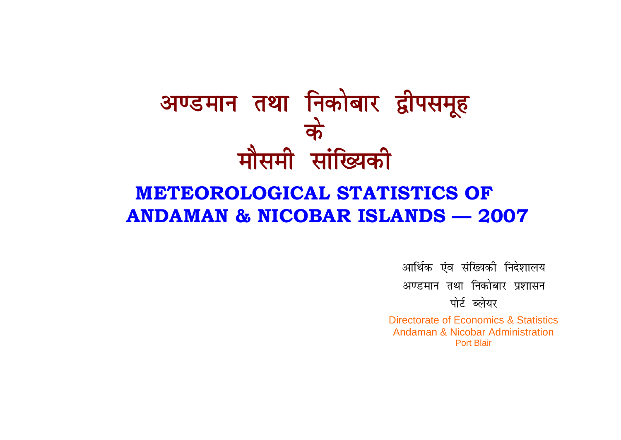# अण्डमान तथा निकोबार द्वीपसमूह के मौसमी सांख्यिकी

## **METEOROLOGICAL STATISTICS OF ANDAMAN & NICOBAR ISLANDS - 2007**

आर्थिक एंव संख्यिकी निदेशालय अण्डमान तथा निकोबार प्रशासन पोर्ट ब्लेयर

Directorate of Economics & Statistics **Andaman & Nicobar Administration Port Blair**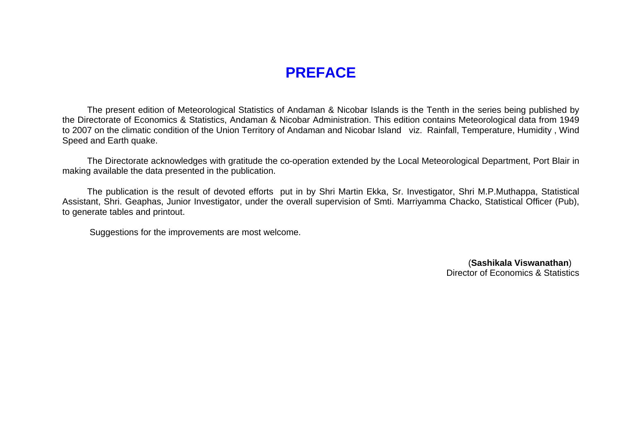## **PREFACE**

 The present edition of Meteorological Statistics of Andaman & Nicobar Islands is the Tenth in the series being published by the Directorate of Economics & Statistics, Andaman & Nicobar Administration. This edition contains Meteorological data from 1949 to 2007 on the climatic condition of the Union Territory of Andaman and Nicobar Island viz. Rainfall, Temperature, Humidity , Wind Speed and Earth quake.

 The Directorate acknowledges with gratitude the co-operation extended by the Local Meteorological Department, Port Blair in making available the data presented in the publication.

 The publication is the result of devoted efforts put in by Shri Martin Ekka, Sr. Investigator, Shri M.P.Muthappa, Statistical Assistant, Shri. Geaphas, Junior Investigator, under the overall supervision of Smti. Marriyamma Chacko, Statistical Officer (Pub), to generate tables and printout.

Suggestions for the improvements are most welcome.

(**Sashikala Viswanathan**) Director of Economics & Statistics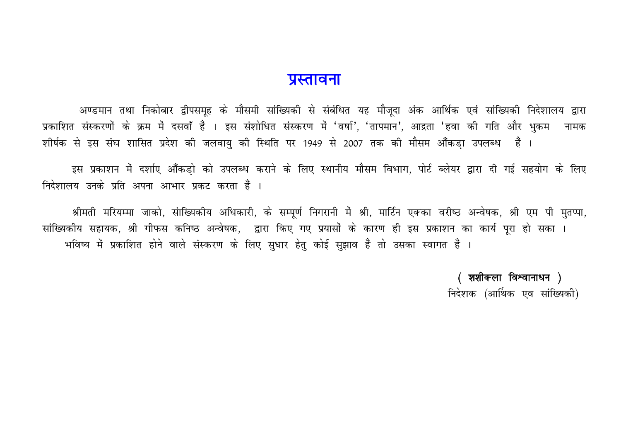### पुस्तावना

अण्डमान तथा निकोबार द्वीपसमृह के मौसमी सांख्यिकी से संबंधित यह मौजूदा अंक आर्थिक एवं सांख्यिकी निदेशालय द्वारा प्रकाशित संस्करणों के क्रम में दसवाँ हैं । इस संशोधित संस्करण में 'वर्षा', 'तापमान', आद्रता 'हवा की गति और भुकम नामक शोर्षक से इस संघ शासित प्रदेश की जलवाय की स्थिति पर 1949 से 2007 तक की मौसम आँकडा उपलब्ध हैं ।

इस प्रकाशन में दर्शाए आँकड़ो को उपलब्ध कराने के लिए स्थानीय मौसम विभाग, पोर्ट ब्लेयर द्वारा दी गई सहयोग के लिए निदेशालय उनके प्रति अपना आभार प्रकट करता हैं ।

श्रीमती मरियम्मा जाको, सांख्यिकीय अधिकारी, के सम्पूर्ण निगरानी में श्री, मार्टिन एकका वरीष्ठ अन्वेषक, श्री एम पी मुतप्पा, सांख्यिकीय सहायक, श्री गीफस कनिष्ठ अन्वेषक, द्वारा किए गए प्रयासों के कारण ही इस प्रकाशन का कार्य पूरा हो सका । भविष्य में प्रकाशित होने वाले संस्करण के लिए सुधार हेतु कोई सुझाव हैं तो उसका स्वागत हैं ।

> ( शशीकला विश्वानाधन ) निदेशक (आर्थिक एव सांख्यिकी)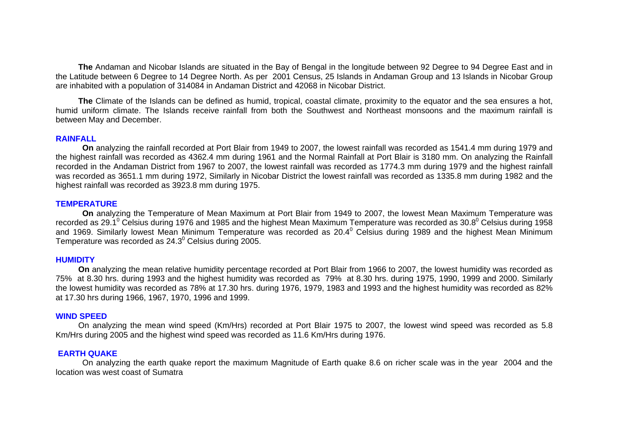**The** Andaman and Nicobar Islands are situated in the Bay of Bengal in the longitude between 92 Degree to 94 Degree East and in the Latitude between 6 Degree to 14 Degree North. As per 2001 Census, 25 Islands in Andaman Group and 13 Islands in Nicobar Group are inhabited with a population of 314084 in Andaman District and 42068 in Nicobar District.

**The** Climate of the Islands can be defined as humid, tropical, coastal climate, proximity to the equator and the sea ensures a hot, humid uniform climate. The Islands receive rainfall from both the Southwest and Northeast monsoons and the maximum rainfall isbetween May and December.

#### **RAINFALL**

**On** analyzing the rainfall recorded at Port Blair from 1949 to 2007, the lowest rainfall was recorded as 1541.4 mm during 1979 and the highest rainfall was recorded as 4362.4 mm during 1961 and the Normal Rainfall at Port Blair is 3180 mm. On analyzing the Rainfall recorded in the Andaman District from 1967 to 2007, the lowest rainfall was recorded as 1774.3 mm during 1979 and the highest rainfall was recorded as 3651.1 mm during 1972, Similarly in Nicobar District the lowest rainfall was recorded as 1335.8 mm during 1982 and the highest rainfall was recorded as 3923.8 mm during 1975.

#### **TEMPERATURE**

**On** analyzing the Temperature of Mean Maximum at Port Blair from 1949 to 2007, the lowest Mean Maximum Temperature was recorded as 29.1<sup>0</sup> Celsius during 1976 and 1985 and the highest Mean Maximum Temperature was recorded as  $30.8^{\circ}$  Celsius during 1958 and 1969. Similarly lowest Mean Minimum Temperature was recorded as 20.4<sup>0</sup> Celsius during 1989 and the highest Mean Minimum Temperature was recorded as  $24.3^\circ$  Celsius during 2005.

#### **HUMIDITY**

**On** analyzing the mean relative humidity percentage recorded at Port Blair from 1966 to 2007, the lowest humidity was recorded as 75% at 8.30 hrs. during 1993 and the highest humidity was recorded as 79% at 8.30 hrs. during 1975, 1990, 1999 and 2000. Similarly the lowest humidity was recorded as 78% at 17.30 hrs. during 1976, 1979, 1983 and 1993 and the highest humidity was recorded as 82% at 17.30 hrs during 1966, 1967, 1970, 1996 and 1999.

#### **WIND SPEED**

 On analyzing the mean wind speed (Km/Hrs) recorded at Port Blair 1975 to 2007, the lowest wind speed was recorded as 5.8 Km/Hrs during 2005 and the highest wind speed was recorded as 11.6 Km/Hrs during 1976.

#### **EARTH QUAKE**

On analyzing the earth quake report the maximum Magnitude of Earth quake 8.6 on richer scale was in the year 2004 and the location was west coast of Sumatra